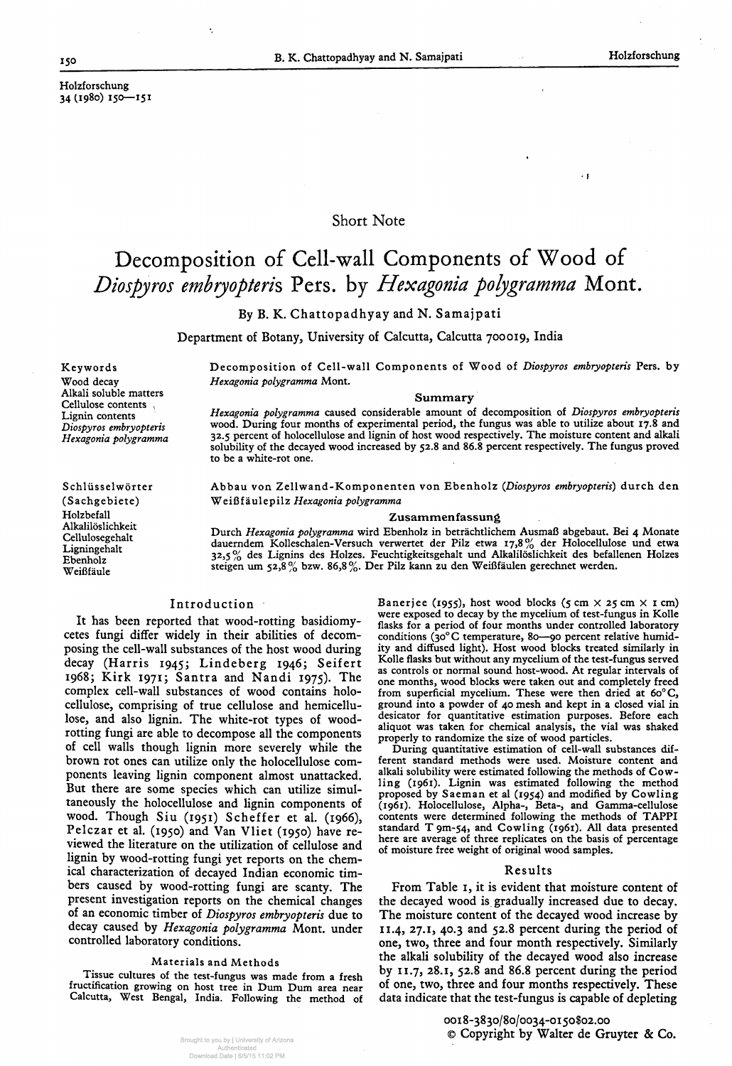$\cdot$  f

# Decomposition of Cell-wall Components of Wood of Diospyros embryopteris Pers. by Hexagonia polygramma Mont.

#### Holzforschung 34(1980) 150—151

## Short Note

By B. K. Chattopadhyay and N. Samajpati

Department of Botany, University of Calcutta, Calcutta 700019, India

Keywords Wood decay Alkali soluble matters Cellulose contents , Lignin contents *Diospyros embryopteris Hexagonia polygramma*

Schlüsselwörter (Sachgebiete) Holzbefall Alkalilöslichkeit Cellulosegehalt Ligningehalt Ebenholz Weißfäule

Decomposition of Cell-wall Components of Wood of *Diospyros embryopteris* Pers. by *Hexagonia polygramma* Mont.

#### **Summary**

*Hexagonia polygramma* caused considerable amount of decomposition of *Diospyros embryopteris* wood. During four months of experimental period, the fungus was able to utilize about 17.8 and 32.5 percent of holocellulose and lignin of host wood respectively. The moisture Content and alkali solubility of the decayed wood increased by 52.8 and 86.8 percent respectively. The fungus proved to be a white-rot one.

Abbau von Zellwand-Komponenten von Ebenholz *(Diospyros embryopteris}* durch den Weißf äulepilz *Hexagonia polygramma*

#### **Zusammenfassung**

Durch *Hexagonia polygramma* wird Ebenholz in beträchtlichem Ausmaß abgebaut. Bei 4 Monate dauerndem Kolleschalen-Versuch verwertet der Pilz etwa 17,8% der Holocellulose und etwa 32,5% des Lignins des Holzes. Feuchtigkeitsgehalt und Alkalilöslichkeit des befallenen Holzes steigen um 52,8% bzw. 86,8%. Der Pilz kann zu den Weißfäulen gerechnet werden.

## Introduction

Banerjee (1955), host wood blocks (5 cm  $\times$  25 cm  $\times$  1 cm) were exposed to decay by the mycelium of test-fungus in Kolle flasks for a period of four months under controlled laboratory conditions (30° C temperature, 80—90 percent relative humidity and diffused light). Host wood blocks treated similarly in Kolle flasks but without any mycelium of the test-fungus served äs controls or normal sound host-wood. At regulär intervals of one months, wood blocks were taken out and completely freed from superficial mycelium. These were then dried at 60° C, ground into a powder of 40 mesh and kept in a closed vial in

It has been reported that wood-rotting basidiomycetes fungi differ widely in their abilities of decomposing the cell-wall substances of the host wood during decay (Harris 1945; Lindeberg 1946; Seifert 1968; Kirk 1971; Santra and Nandi 1975). The complex cell-wall substances of wood contains holocellulose, comprising of true cellulose and hemicellulose, and also lignin. The white-rot types of woodrotting fungi are able to decompose all the components of cell walls though lignin more severely while the brown rot ones can utilize only the holocellulose components leaving lignin component almost unattacked. But there are some species which can utilize simultaneously the holocellulose and lignin components of wood. Though Siu (1951) Scheffer et al. (1966), Pelczar et al. (1950) and Van Vliet (1950) have reviewed the literature on the utilization of cellulose and lignin by wood-rotting fungi yet reports on the chemical characterization of decayed Indian economic timbers caused by wood-rotting fungi are scanty. The present investigation reports on the chemical changes of an economic timber of *Diospyros embryopteris* due to decay caused by *Hexagonia polygramma* Mont. under controlled laboratory conditions.

#### Materials and Methode

Tissue cultures of the test-fungus was made from a fresh fructification growing on host tree in Dum Dum area near Calcutta, West Bengal, India. Following the method of desicator for quantitative estimation purposes. Before each aliquot was taken for chemical analysis, the vial was shaked properly to randomize the size of wood particles.

During quantitative estimation of cell-wall substances different Standard methods were used. Moisture content and alkali solubility were estimated following the methods of Cowling (1961). Lignin was estimated following the method proposed by Saeman et al (1954) and modified by Cowling (1961). Holocellulose, Alpha-, Beta-, and Gamma-cellulose contents were determined following the methods of TAPPI standard  $T$  9m-54, and Cowling (1961). All data presented here are average of three replicates on the basis of percentage of moisture free weight of original wood samples.

## Results

From Table i, it is evident that moisture content of the decayed wood is gradually increased due to decay. The moisture content of the decayed wood increase by 11.4, 27.1, 40.3 and 52.8 percent during the period of one, two, three and four month respectively. Similarly the alkali solubility of the decayed wood also increase by 11.7, 28.1, 52.8 and 86.8 percent during the period of one, two, three and four months respectively. These data indicate that the test-fungus is capable of depleting

> ooi 8-3830/80/0034-0150802.00 © Copyright by Walter de Gruyter & Co.

Brought to you by | University of Arizona Authenticated Download Date | 6/5/15 11:02 PM